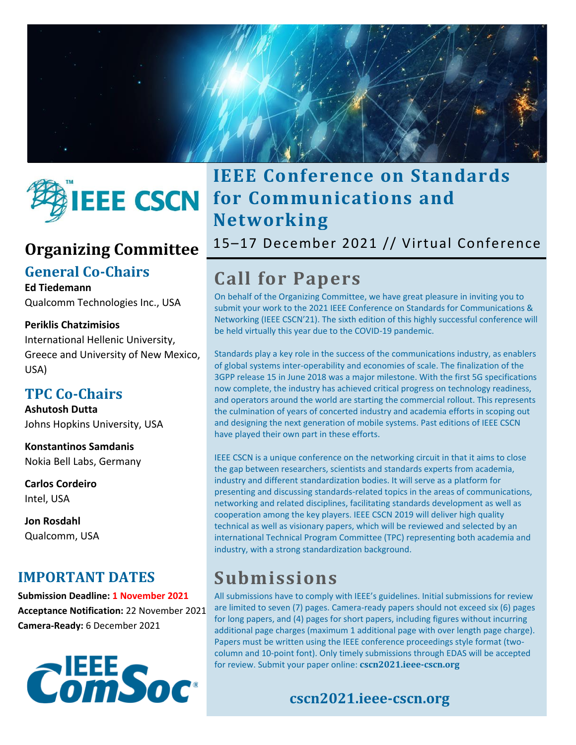



### **General Co-Chairs**

### **Ed Tiedemann**

Qualcomm Technologies Inc., USA

### **Periklis Chatzimisios**

International Hellenic University, Greece and University of New Mexico, USA)

### **TPC Co-Chairs**

**Ashutosh Dutta** Johns Hopkins University, USA

**Konstantinos Samdanis**  Nokia Bell Labs, Germany

**Carlos Cordeiro** Intel, USA

**Jon Rosdahl** Qualcomm, USA

### **IMPORTANT DATES**

**Submission Deadline: 1 November 2021 Acceptance Notification:** 22 November 2021 **Camera-Ready:** 6 December 2021



## **IEEE Conference on Standards for Communications and Networking**

Organizing Committee <sup>15–17</sup> December 2021 // Virtual Conference

# **Call for Papers**

On behalf of the Organizing Committee, we have great pleasure in inviting you to submit your work to the 2021 IEEE Conference on Standards for Communications & Networking (IEEE CSCN'21). The sixth edition of this highly successful conference will be held virtually this year due to the COVID-19 pandemic.

Standards play a key role in the success of the communications industry, as enablers of global systems inter-operability and economies of scale. The finalization of the 3GPP release 15 in June 2018 was a major milestone. With the first 5G specifications now complete, the industry has achieved critical progress on technology readiness, and operators around the world are starting the commercial rollout. This represents the culmination of years of concerted industry and academia efforts in scoping out and designing the next generation of mobile systems. Past editions of IEEE CSCN have played their own part in these efforts.

IEEE CSCN is a unique conference on the networking circuit in that it aims to close the gap between researchers, scientists and standards experts from academia, industry and different standardization bodies. It will serve as a platform for presenting and discussing standards-related topics in the areas of communications, networking and related disciplines, facilitating standards development as well as cooperation among the key players. IEEE CSCN 2019 will deliver high quality technical as well as visionary papers, which will be reviewed and selected by an international Technical Program Committee (TPC) representing both academia and industry, with a strong standardization background.

## **Submissions**

All submissions have to comply with IEEE's guidelines. Initial submissions for review are limited to seven (7) pages. Camera-ready papers should not exceed six (6) pages for long papers, and (4) pages for short papers, including figures without incurring additional page charges (maximum 1 additional page with over length page charge). Papers must be written using the IEEE conference proceedings style format (twocolumn and 10-point font). Only timely submissions through EDAS will be accepted for review. Submit your paper online: **cscn2021.ieee-cscn.org**

### **cscn2021.ieee-cscn.org**